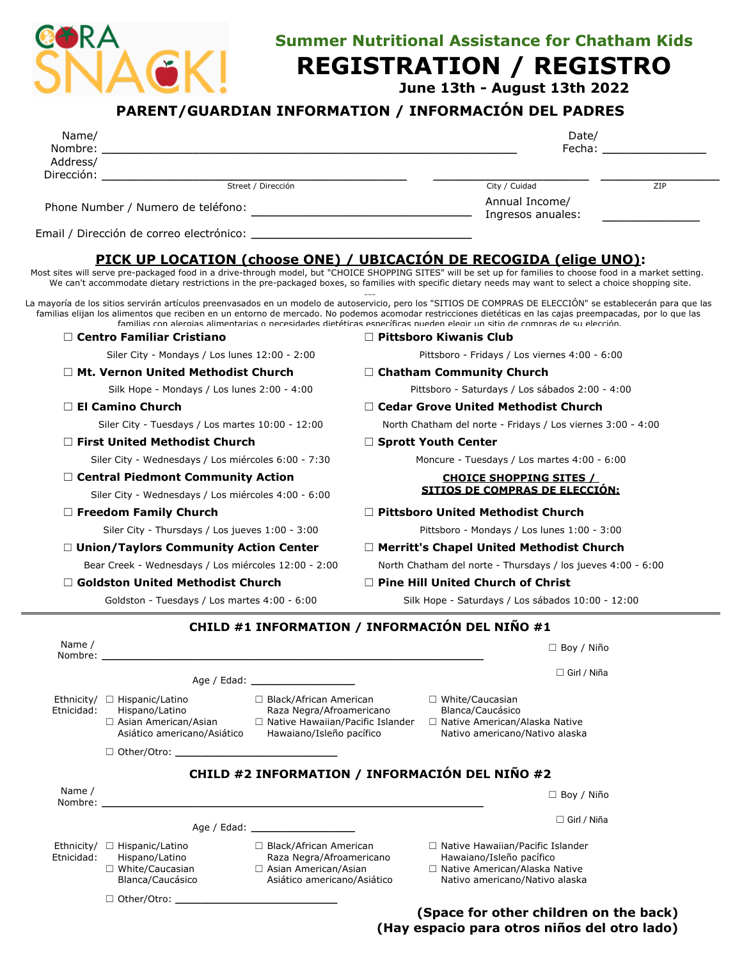

☐ White/Caucasian Blanca/Caucásico

☐ Other/Otro: **\_\_\_\_\_\_\_\_\_\_\_\_\_\_\_\_\_\_\_\_\_\_\_\_\_**

## **Summer Nutritional Assistance for Chatham Kids**

## **REGISTRATION / REGISTRO**

 **June 13th - August 13th 2022**

## **PARENT/GUARDIAN INFORMATION / INFORMACIÓN DEL PADRES**

| Name/                                               |                                                                                                                                                                                                                                        |                                                      |                                                             | Date/                                                                                                                                                                                                                                                                                                                                                                                                                                                   |  |
|-----------------------------------------------------|----------------------------------------------------------------------------------------------------------------------------------------------------------------------------------------------------------------------------------------|------------------------------------------------------|-------------------------------------------------------------|---------------------------------------------------------------------------------------------------------------------------------------------------------------------------------------------------------------------------------------------------------------------------------------------------------------------------------------------------------------------------------------------------------------------------------------------------------|--|
| Nombre:<br>Address/                                 |                                                                                                                                                                                                                                        |                                                      |                                                             |                                                                                                                                                                                                                                                                                                                                                                                                                                                         |  |
| Dirección: _                                        |                                                                                                                                                                                                                                        |                                                      |                                                             |                                                                                                                                                                                                                                                                                                                                                                                                                                                         |  |
|                                                     |                                                                                                                                                                                                                                        | Street / Dirección                                   |                                                             | City / Cuidad<br>ZIP                                                                                                                                                                                                                                                                                                                                                                                                                                    |  |
| Phone Number / Numero de teléfono:                  |                                                                                                                                                                                                                                        |                                                      |                                                             | Annual Income/<br>Ingresos anuales:                                                                                                                                                                                                                                                                                                                                                                                                                     |  |
|                                                     |                                                                                                                                                                                                                                        |                                                      |                                                             |                                                                                                                                                                                                                                                                                                                                                                                                                                                         |  |
|                                                     |                                                                                                                                                                                                                                        |                                                      |                                                             | PICK UP LOCATION (choose ONE) / UBICACIÓN DE RECOGIDA (elige UNO):                                                                                                                                                                                                                                                                                                                                                                                      |  |
|                                                     |                                                                                                                                                                                                                                        |                                                      |                                                             | Most sites will serve pre-packaged food in a drive-through model, but "CHOICE SHOPPING SITES" will be set up for families to choose food in a market setting.<br>We can't accommodate dietary restrictions in the pre-packaged boxes, so families with specific dietary needs may want to select a choice shopping site.                                                                                                                                |  |
|                                                     |                                                                                                                                                                                                                                        |                                                      |                                                             | La mayoría de los sitios servirán artículos preenvasados en un modelo de autoservicio, pero los "SITIOS DE COMPRAS DE ELECCIÓN" se establecerán para que las<br>familias elijan los alimentos que reciben en un entorno de mercado. No podemos acomodar restricciones dietéticas en las cajas preempacadas, por lo que las<br>familias con alergias alimentarias o necesidades dietéticas específicas pueden elegir un sitio de compras de su elección. |  |
|                                                     | $\Box$ Centro Familiar Cristiano                                                                                                                                                                                                       |                                                      |                                                             | $\Box$ Pittsboro Kiwanis Club                                                                                                                                                                                                                                                                                                                                                                                                                           |  |
|                                                     | Siler City - Mondays / Los lunes 12:00 - 2:00                                                                                                                                                                                          |                                                      |                                                             | Pittsboro - Fridays / Los viernes 4:00 - 6:00                                                                                                                                                                                                                                                                                                                                                                                                           |  |
|                                                     | $\Box$ Mt. Vernon United Methodist Church                                                                                                                                                                                              |                                                      |                                                             | $\Box$ Chatham Community Church                                                                                                                                                                                                                                                                                                                                                                                                                         |  |
| Silk Hope - Mondays / Los lunes 2:00 - 4:00         |                                                                                                                                                                                                                                        |                                                      | Pittsboro - Saturdays / Los sábados 2:00 - 4:00             |                                                                                                                                                                                                                                                                                                                                                                                                                                                         |  |
| □ El Camino Church                                  |                                                                                                                                                                                                                                        | $\Box$ Cedar Grove United Methodist Church           |                                                             |                                                                                                                                                                                                                                                                                                                                                                                                                                                         |  |
| Siler City - Tuesdays / Los martes 10:00 - 12:00    |                                                                                                                                                                                                                                        |                                                      | North Chatham del norte - Fridays / Los viernes 3:00 - 4:00 |                                                                                                                                                                                                                                                                                                                                                                                                                                                         |  |
|                                                     | $\Box$ First United Methodist Church                                                                                                                                                                                                   |                                                      | $\Box$ Sprott Youth Center                                  |                                                                                                                                                                                                                                                                                                                                                                                                                                                         |  |
|                                                     | Siler City - Wednesdays / Los miércoles 6:00 - 7:30                                                                                                                                                                                    |                                                      | Moncure - Tuesdays / Los martes 4:00 - 6:00                 |                                                                                                                                                                                                                                                                                                                                                                                                                                                         |  |
|                                                     | □ Central Piedmont Community Action                                                                                                                                                                                                    |                                                      | <b>CHOICE SHOPPING SITES /</b>                              |                                                                                                                                                                                                                                                                                                                                                                                                                                                         |  |
| Siler City - Wednesdays / Los miércoles 4:00 - 6:00 |                                                                                                                                                                                                                                        |                                                      | <u>SITIOS DE COMPRAS DE ELECCIÓN:</u>                       |                                                                                                                                                                                                                                                                                                                                                                                                                                                         |  |
| $\Box$ Freedom Family Church                        |                                                                                                                                                                                                                                        |                                                      | $\Box$ Pittsboro United Methodist Church                    |                                                                                                                                                                                                                                                                                                                                                                                                                                                         |  |
|                                                     | Siler City - Thursdays / Los jueves 1:00 - 3:00                                                                                                                                                                                        |                                                      | Pittsboro - Mondays / Los lunes 1:00 - 3:00                 |                                                                                                                                                                                                                                                                                                                                                                                                                                                         |  |
|                                                     | $\Box$ Union/Taylors Community Action Center                                                                                                                                                                                           |                                                      | $\Box$ Merritt's Chapel United Methodist Church             |                                                                                                                                                                                                                                                                                                                                                                                                                                                         |  |
|                                                     | Bear Creek - Wednesdays / Los miércoles 12:00 - 2:00                                                                                                                                                                                   |                                                      |                                                             | North Chatham del norte - Thursdays / los jueves 4:00 - 6:00                                                                                                                                                                                                                                                                                                                                                                                            |  |
|                                                     | $\Box$ Goldston United Methodist Church                                                                                                                                                                                                |                                                      |                                                             | $\Box$ Pine Hill United Church of Christ                                                                                                                                                                                                                                                                                                                                                                                                                |  |
|                                                     | Goldston - Tuesdays / Los martes 4:00 - 6:00                                                                                                                                                                                           |                                                      |                                                             | Silk Hope - Saturdays / Los sábados 10:00 - 12:00                                                                                                                                                                                                                                                                                                                                                                                                       |  |
|                                                     |                                                                                                                                                                                                                                        |                                                      |                                                             | CHILD #1 INFORMATION / INFORMACIÓN DEL NIÑO #1                                                                                                                                                                                                                                                                                                                                                                                                          |  |
| Name /<br>Nombre:                                   |                                                                                                                                                                                                                                        |                                                      |                                                             | $\Box$ Boy / Niño                                                                                                                                                                                                                                                                                                                                                                                                                                       |  |
|                                                     |                                                                                                                                                                                                                                        |                                                      |                                                             | $\Box$ Girl / Niña                                                                                                                                                                                                                                                                                                                                                                                                                                      |  |
| Etnicidad:                                          | □ Black/African American<br>Ethnicity/ $\Box$ Hispanic/Latino<br>Hispano/Latino<br>Raza Negra/Afroamericano<br>□ Native Hawaiian/Pacific Islander<br>□ Asian American/Asian<br>Hawaiano/Isleño pacífico<br>Asiático americano/Asiático |                                                      |                                                             | □ White/Caucasian<br>Blanca/Caucásico<br>□ Native American/Alaska Native<br>Nativo americano/Nativo alaska                                                                                                                                                                                                                                                                                                                                              |  |
|                                                     |                                                                                                                                                                                                                                        |                                                      |                                                             |                                                                                                                                                                                                                                                                                                                                                                                                                                                         |  |
|                                                     |                                                                                                                                                                                                                                        |                                                      |                                                             | CHILD #2 INFORMATION / INFORMACIÓN DEL NIÑO #2                                                                                                                                                                                                                                                                                                                                                                                                          |  |
| Name /                                              |                                                                                                                                                                                                                                        |                                                      |                                                             | $\Box$ Boy / Niño                                                                                                                                                                                                                                                                                                                                                                                                                                       |  |
|                                                     |                                                                                                                                                                                                                                        | Age / Edad: ______________________                   |                                                             | $\Box$ Girl / Niña                                                                                                                                                                                                                                                                                                                                                                                                                                      |  |
| Etnicidad:                                          | Ethnicity/ $\Box$ Hispanic/Latino<br>Hispano/Latino                                                                                                                                                                                    | □ Black/African American<br>Raza Negra/Afroamericano |                                                             | □ Native Hawaiian/Pacific Islander<br>Hawaiano/Isleño pacífico                                                                                                                                                                                                                                                                                                                                                                                          |  |

□ Asian American/Asian ☐ Asiático americano/Asiático

- ☐ Hawaiano/Isleño pacífico
- ☐ Native American/Alaska Native Nativo americano/Nativo alaska

**(Space for other children on the back) (Hay espacio para otros niños del otro lado)**